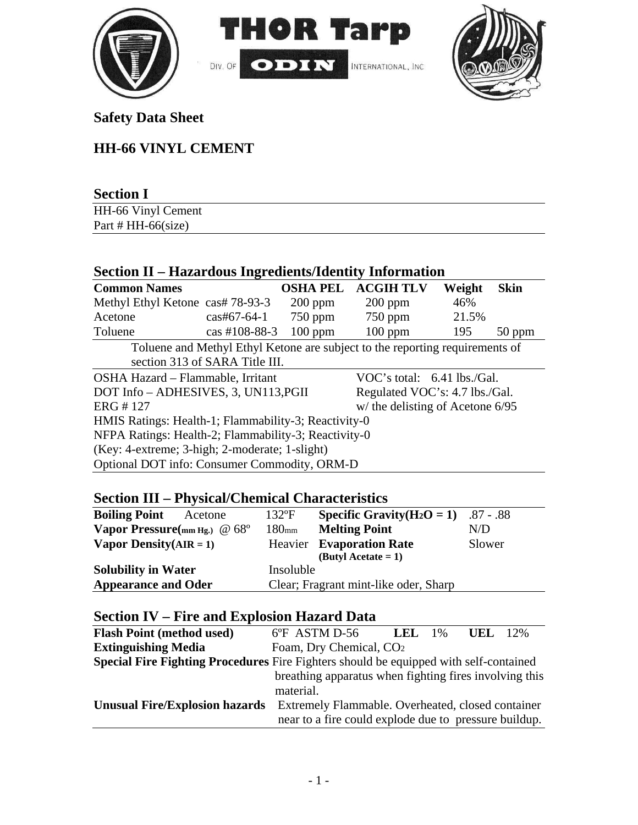



## **Safety Data Sheet**

# **HH-66 VINYL CEMENT**

| <b>Section I</b>       |  |
|------------------------|--|
| HH-66 Vinyl Cement     |  |
| Part # HH- $66$ (size) |  |

## **Section II – Hazardous Ingredients/Identity Information**

| <b>Common Names</b>                                                          |                       | <b>OSHA PEL</b> | <b>ACGIH TLV</b> | Weight | <b>Skin</b> |
|------------------------------------------------------------------------------|-----------------------|-----------------|------------------|--------|-------------|
| Methyl Ethyl Ketone cas# 78-93-3                                             |                       | $200$ ppm       | $200$ ppm        | 46%    |             |
| Acetone                                                                      | $\text{cas}$ #67-64-1 | $750$ ppm       | $750$ ppm        | 21.5%  |             |
| Toluene                                                                      | $\cos\#108 - 88 - 3$  | $100$ ppm       | $100$ ppm        | 195    | $50$ ppm    |
| Toluene and Methyl Ethyl Ketone are subject to the reporting requirements of |                       |                 |                  |        |             |
| section 313 of SARA Title III.                                               |                       |                 |                  |        |             |
| OSHA Hazard – Flammable, Irritant<br>VOC's total: $6.41$ lbs./Gal.           |                       |                 |                  |        |             |
| Regulated VOC's: 4.7 lbs./Gal.<br>DOT Info - ADHESIVES, 3, UN113, PGII       |                       |                 |                  |        |             |
| ERG #127<br>$w/$ the delisting of Acetone 6/95                               |                       |                 |                  |        |             |
| HMIS Ratings: Health-1; Flammability-3; Reactivity-0                         |                       |                 |                  |        |             |
| NFPA Ratings: Health-2; Flammability-3; Reactivity-0                         |                       |                 |                  |        |             |
| (Key: 4-extreme; 3-high; 2-moderate; 1-slight)                               |                       |                 |                  |        |             |
| Optional DOT info: Consumer Commodity, ORM-D                                 |                       |                 |                  |        |             |

## **Section III – Physical/Chemical Characteristics**

| <b>Boiling Point</b><br>Acetone | $132$ °F          | <b>Specific Gravity</b> ( $H_2O = 1$ ) .87 - .88 |        |
|---------------------------------|-------------------|--------------------------------------------------|--------|
| Vapor Pressure(mm Hg.) $@68°$   | 180 <sub>mm</sub> | <b>Melting Point</b>                             | N/D    |
| Vapor Density $(AIR = 1)$       |                   | <b>Heavier</b> Evaporation Rate                  | Slower |
|                                 |                   | $(ButyI Acctate = 1)$                            |        |
| <b>Solubility in Water</b>      | Insoluble         |                                                  |        |
| <b>Appearance and Oder</b>      |                   | Clear; Fragrant mint-like oder, Sharp            |        |

## **Section IV – Fire and Explosion Hazard Data**

| <b>Flash Point (method used)</b>                                                             | 6°F ASTM D-56                                          | <b>LEL</b> | $1\%$ | UEL. | 12% |
|----------------------------------------------------------------------------------------------|--------------------------------------------------------|------------|-------|------|-----|
| <b>Extinguishing Media</b>                                                                   | Foam, Dry Chemical, CO <sub>2</sub>                    |            |       |      |     |
| <b>Special Fire Fighting Procedures</b> Fire Fighters should be equipped with self-contained |                                                        |            |       |      |     |
|                                                                                              | breathing apparatus when fighting fires involving this |            |       |      |     |
|                                                                                              | material.                                              |            |       |      |     |
| <b>Unusual Fire/Explosion hazards</b>                                                        | Extremely Flammable. Overheated, closed container      |            |       |      |     |
|                                                                                              | near to a fire could explode due to pressure buildup.  |            |       |      |     |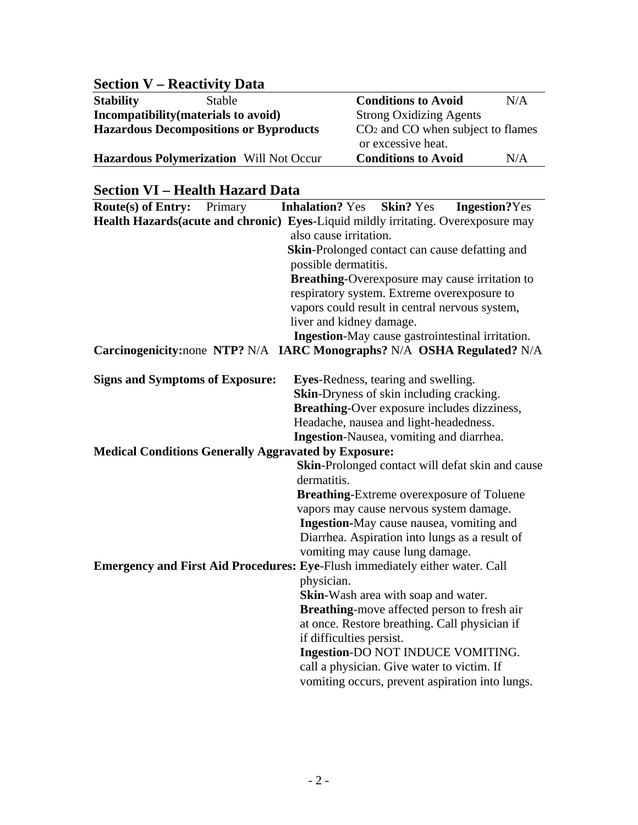## **Section V – Reactivity Data**

**Stability** Stable **Conditions to Avoid** N/A **Incompatibility(materials to avoid)** Strong Oxidizing Agents<br> **Hazardous Decompositions or Byproducts** CO<sub>2</sub> and CO when subject to flames Hazardous Decompositions or Byproducts

or excessive heat.

### **Hazardous Polymerization** Will Not Occur **Conditions to Avoid** N/A

### **Section VI – Health Hazard Data**

| Route(s) of Entry:                                                                                                     | Primary | <b>Inhalation?</b> Yes                                                     | <b>Skin?</b> Yes | <b>Ingestion?Yes</b>                             |  |
|------------------------------------------------------------------------------------------------------------------------|---------|----------------------------------------------------------------------------|------------------|--------------------------------------------------|--|
| Health Hazards (acute and chronic) Eyes-Liquid mildly irritating. Overexposure may                                     |         |                                                                            |                  |                                                  |  |
|                                                                                                                        |         | also cause irritation.                                                     |                  |                                                  |  |
|                                                                                                                        |         | <b>Skin-Prolonged contact can cause defatting and</b>                      |                  |                                                  |  |
|                                                                                                                        |         | possible dermatitis.                                                       |                  |                                                  |  |
|                                                                                                                        |         |                                                                            |                  | Breathing-Overexposure may cause irritation to   |  |
|                                                                                                                        |         | respiratory system. Extreme overexposure to                                |                  |                                                  |  |
|                                                                                                                        |         | vapors could result in central nervous system,<br>liver and kidney damage. |                  |                                                  |  |
|                                                                                                                        |         |                                                                            |                  | Ingestion-May cause gastrointestinal irritation. |  |
| Carcinogenicity:none NTP? N/A IARC Monographs? N/A OSHA Regulated? N/A                                                 |         |                                                                            |                  |                                                  |  |
|                                                                                                                        |         |                                                                            |                  |                                                  |  |
| <b>Signs and Symptoms of Exposure:</b>                                                                                 |         | Eyes-Redness, tearing and swelling.                                        |                  |                                                  |  |
|                                                                                                                        |         | <b>Skin-Dryness of skin including cracking.</b>                            |                  |                                                  |  |
|                                                                                                                        |         | <b>Breathing-Over exposure includes dizziness,</b>                         |                  |                                                  |  |
|                                                                                                                        |         | Headache, nausea and light-headedness.                                     |                  |                                                  |  |
|                                                                                                                        |         | Ingestion-Nausea, vomiting and diarrhea.                                   |                  |                                                  |  |
| <b>Medical Conditions Generally Aggravated by Exposure:</b>                                                            |         |                                                                            |                  |                                                  |  |
|                                                                                                                        |         |                                                                            |                  | Skin-Prolonged contact will defat skin and cause |  |
|                                                                                                                        |         | dermatitis.                                                                |                  |                                                  |  |
| <b>Breathing-Extreme overexposure of Toluene</b><br>vapors may cause nervous system damage.                            |         |                                                                            |                  |                                                  |  |
|                                                                                                                        |         |                                                                            |                  |                                                  |  |
|                                                                                                                        |         | Ingestion-May cause nausea, vomiting and                                   |                  | Diarrhea. Aspiration into lungs as a result of   |  |
|                                                                                                                        |         |                                                                            |                  |                                                  |  |
| vomiting may cause lung damage.<br><b>Emergency and First Aid Procedures: Eye-Flush immediately either water. Call</b> |         |                                                                            |                  |                                                  |  |
| physician.                                                                                                             |         |                                                                            |                  |                                                  |  |
|                                                                                                                        |         | Skin-Wash area with soap and water.                                        |                  |                                                  |  |
|                                                                                                                        |         |                                                                            |                  | Breathing-move affected person to fresh air      |  |
|                                                                                                                        |         |                                                                            |                  | at once. Restore breathing. Call physician if    |  |
|                                                                                                                        |         | if difficulties persist.                                                   |                  |                                                  |  |
|                                                                                                                        |         | Ingestion-DO NOT INDUCE VOMITING.                                          |                  |                                                  |  |
|                                                                                                                        |         | call a physician. Give water to victim. If                                 |                  |                                                  |  |
|                                                                                                                        |         |                                                                            |                  | vomiting occurs, prevent aspiration into lungs.  |  |